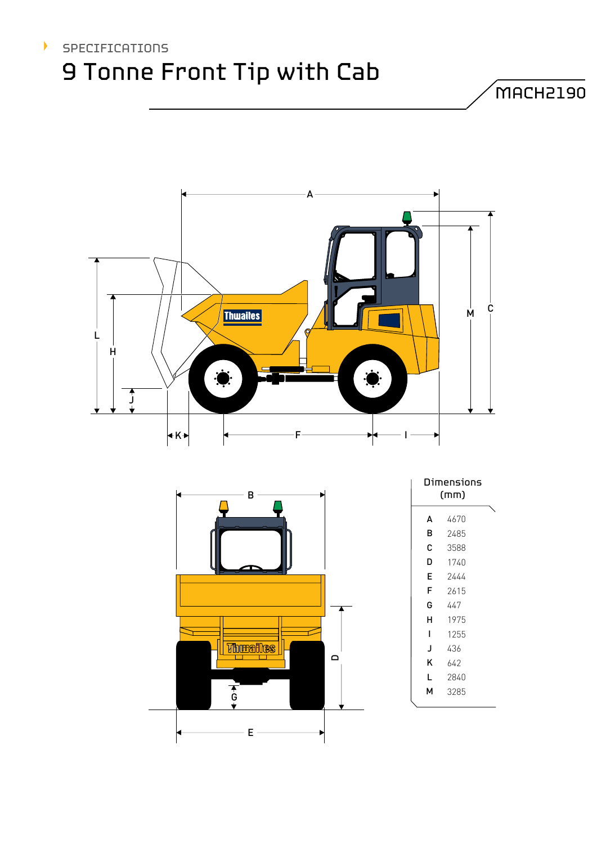# SPECIFICATIONS 9 Tonne Front Tip with Cab

 $\blacktriangleright$ 



MACH2190